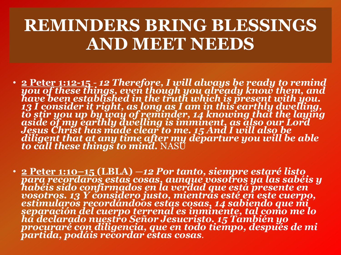## **REMINDERS BRING BLESSINGS AND MEET NEEDS**

- **2 Peter 1:12-15**  *12 Therefore, I will always be ready to remind you of these things, even though you already know them, and have been established in the truth which is present with you. 13 I consider it right, as long as I am in this earthly dwelling, to stir you up by way of reminder, 14 knowing that the laying aside of my earthly dwelling is imminent, as also our Lord Jesus Christ has made clear to me. 15 And I will also be diligent that at any time after my departure you will be able to call these things to mind.* NASU
- **2 Peter 1:10–15 (LBLA)** —*12 Por tanto, siempre estaré listo para recordaros estas cosas, aunque vosotros ya las sabéis y habéis sido confirmados en la verdad que está presente en vosotros. 13 Y considero justo, mientras esté en este cuerpo, estimularos recordándoos estas cosas, 14 sabiendo que mi separación del cuerpo terrenal es inminente, tal como me lo ha declarado nuestro Señor Jesucristo. 15 También yo procuraré con diligencia, que en todo tiempo, después de mi partida, podáis recordar estas cosas*.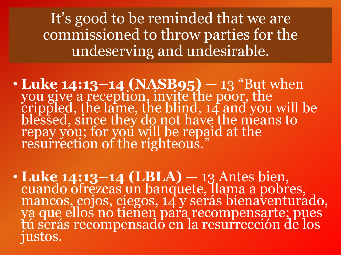It's good to be reminded that we are commissioned to throw parties for the undeserving and undesirable.

• **Luke 14:13–14 (NASB95)** — 13 "But when you give a reception, invite the poor, the crippled, the lame, the blind, 14 and you will be blessed, since they do not have the means to repay you; for you will be repaid at the resurrection of the righteous."

• **Luke 14:13–14 (LBLA)** — 13 Antes bien, cuando ofrezcas un banquete, llama a pobres, mancos, cojos, ciegos, 14 y serás bienaventurado, ya que ellos nó tienen para recompensarte; pues tú serás recompensado en la resurrección de los justos.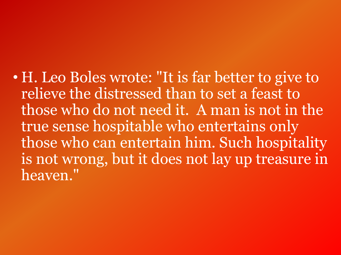• H. Leo Boles wrote: "It is far better to give to relieve the distressed than to set a feast to those who do not need it. A man is not in the true sense hospitable who entertains only those who can entertain him. Such hospitality is not wrong, but it does not lay up treasure in heaven."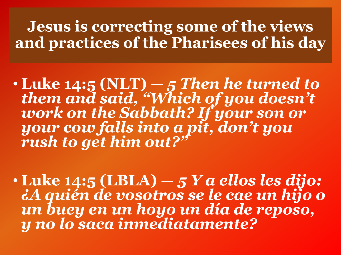**Jesus is correcting some of the views and practices of the Pharisees of his day**

• **Luke 14:5 (NLT)** — *5 Then he turned to them and said, "Which of you doesn't work on the Sabbath? If your son or your cow falls into a pit, don't you rush to get him out?"*

• **Luke 14:5 (LBLA)** — *5 Y a ellos les dijo: ¿A quién de vosotros se le cae un hijo o un buey en un hoyo un día de reposo, y no lo saca inmediatamente?*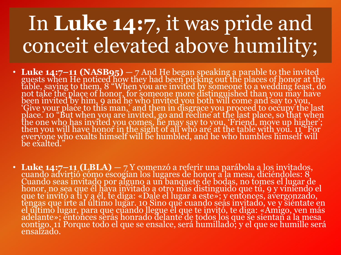# In **Luke 14:7**, it was pride and conceit elevated above humility;

- **Luke 14:7–11 (NASB95)** 7 And He began speaking a parable to the invited guests when He noticed how they had been picking out the places of honor at the table, saying to them, 8 "When you are invited by someone to a wedding feast, do not take the place of honor, for someone more distinguished than you may have been invited by him, 9 and he who invited you both will come and say to you, 'Give your place to this man,' and then in disgrace you proceed to occupy the last place. 10 "But when you are invited, go and recline at the last place, so that when the one who has invited you comes, he may say to you, 'Friend, move up higher'; then you will have honor in the sight of all who are at the table with you.  $11^{\circ}$  For everyone who exalts himself will be humbled, and he who humbles himself will be exalted."
- **Luke 14:7–11 (LBLA)**  7 Y comenzó a referir una parábola a los invitados, cuando advirtió cómo escogían los lugares de honor a la mesa, diciéndoles: 8 Cuando seas invitado por alguno a un banquete de bodas, no tomes el lugar de honor, no sea que él haya invitado a otro más distinguido que tú, 9 y viniendo el que te invitó a ti y a él, te diga: «Dale el lugar a este»; y entonces, avergonzado, tęngas que irte al último lugar. 10 Sino que cuando séas invitado, ve y siéntate en el último lugar, para que cuando llegue el que te invitó, te diga: «Amigo, ven más adelante»; <u>e</u>ntonces serás honrado delante de todos los que se sientañ a la mesa contigo. 11 Porque todo el que se ensalce, será humillado; y el que se humille será ensalzado.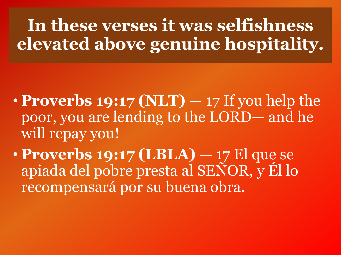**In these verses it was selfishness elevated above genuine hospitality.** 

- **Proverbs 19:17 (NLT)** 17 If you help the poor, you are lending to the LORD— and he will repay you!
- **Proverbs 19:17 (LBLA)** 17 El que se apiada del pobre presta al SEÑOR, y Él lo recompensará por su buena obra.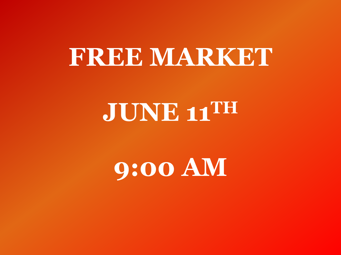# **FREE MARKET**

# **JUNE 11TH**

**9:00 AM**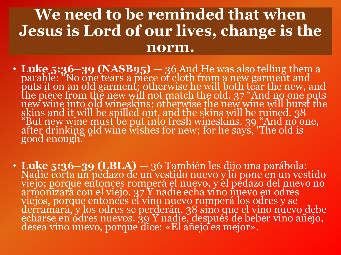## **We need to be reminded that when Jesus is Lord of our lives, change is the norm.**

- Luke 5:36-39 (NASB95) 36 And He was also telling them a parable: "No one tears a piece of cloth from a new garment and puts it on an old garment; otherwise he will both tear the new, and the piece from the new will not match the old. 37 "And no one puts  $\,$ new wine into old wineskins; otherwise the new wine will burst the skins and it will be spilled out, and the skins will be ruined.  $38^\circ$ "But new wine must be put into fresh wineskins. 39 "And no one, after drinking old wine wishes for new; for he says, 'The old is good enough.
- **Luke 5:36–39 (LBLA)**  36 También les dijo una parábola: Nadie corta un pedazo de un vestido nuevo y lo pone en un vestido viejo; porque entonces romperá el nuevo, y el pedazo del nuevo no armonizará con el viejo. 37 Y nadie echa vino nuevo en odres viejos, porque entonces el vino nuevo romperá los odres y se derramará, y los odres se perderán, 38 sino que el vino nuevo debe echarse en ódres nuevos. 39 Y nadie, después de beber vino añejo, desea vino nuevo, porque dice: «El añejo es mejor».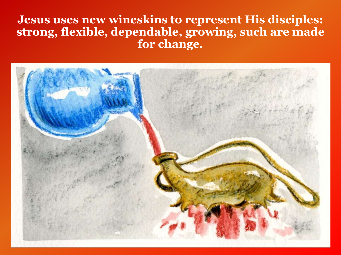### **Jesus uses new wineskins to represent His disciples: strong, flexible, dependable, growing, such are made for change.**

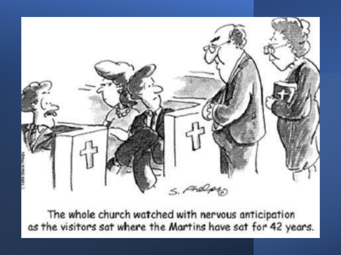

The whole church watched with nervous anticipation as the visitors sat where the Martins have sat for 42 years.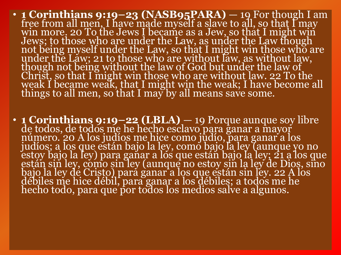- **1 Corinthians 9:19–23 (NASB95PARA)**  19 For though I am free from all men, I have made myself a slave to all, so that I may win more. 20 To the Jews I became as a Jew, so that I might win Jews; to those who are under the Law, as under the Law though not being myself under the Law, so that I might win those who are under the Law; 21 to those who are without law, as without law, though not being without the law of God but under the law of Christ, so that I might win those who are without law. 22 To the weak I became weak, that I might win the weak; I have become all things to all men, so that I may by all means save some.
- **1 Corinthians 9:19–22 (LBLA)**  19 Porque aunque soy libre de todos, de todos me he hecho esclavo para ganar a mayor número. 20 A los judíos me hice como judío, para ganar a los judíos; a los que están bajo la ley, como bajo la ley (aunque yo noestoy bajo la ley) para ganar a los que están bajo la ley; 21 a los que  $\,$ están sin ley, como sin ley (aunque no estoy sin la ley de Dios, sino bajo la ley dé Cristo) pará ganar a los que están sin ley. 22 A lós débiles me hice débil, para ganar a los débiles; a todos me he hecho todo, para que por todos los medios salve a algunos.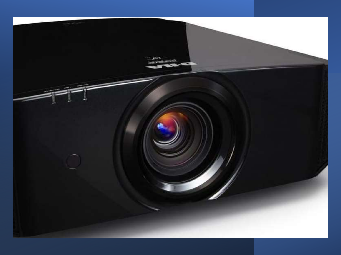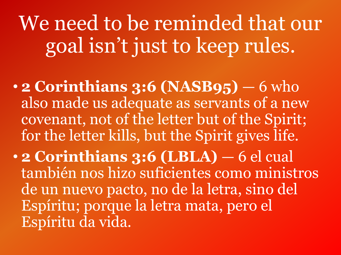# We need to be reminded that our goal isn't just to keep rules.

- **2 Corinthians 3:6 (NASB95)**  6 who also made us adequate as servants of a new covenant, not of the letter but of the Spirit; for the letter kills, but the Spirit gives life.
- **2 Corinthians 3:6 (LBLA)** 6 el cual también nos hizo suficientes como ministros de un nuevo pacto, no de la letra, sino del Espíritu; porque la letra mata, pero el Espíritu da vida.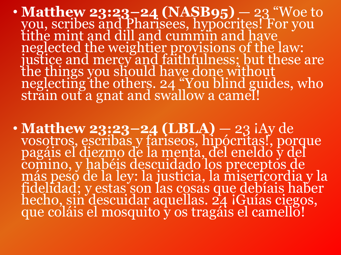- **Matthew 23:23–24 (NASB95)** 23 "Woe to you, scribes and Pharisees, hypocrites! For you tithe mint and dill and cummin and have neglected the weightier provisions of the law: justice and mercy and faithfulness; but these are the things you should have done without neglecting the others. 24 "You blind guides, who strain out a gnat and swallow a camel!
- **Matthew 23:23–24 (LBLA)**  23 ¡Ay de vosotros, escribas y fariseos, hipócritas!, porque pagáis el diezmo de la mentá, del eneldo y del comino, y habéis descuidado los preceptos de más peso de la ley: la justicia, la misericordia y la fidelidad; y estas son las cosas que debíais haber hecho, sin descuidar aquellas. 24 iGuías ciegos, que cóláis el mosquito y os tragáis el camello!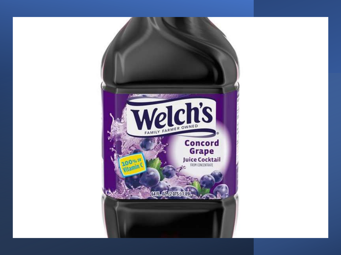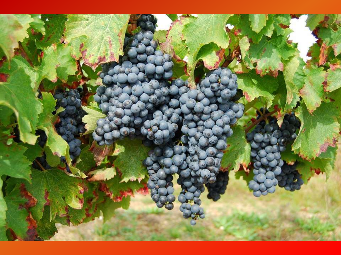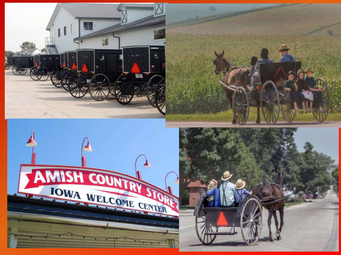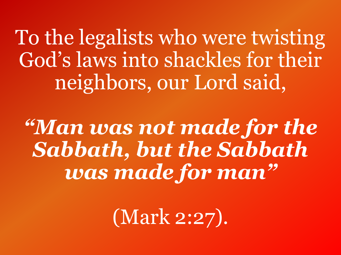To the legalists who were twisting God's laws into shackles for their neighbors, our Lord said,

*"Man was not made for the Sabbath, but the Sabbath was made for man"* 

(Mark 2:27).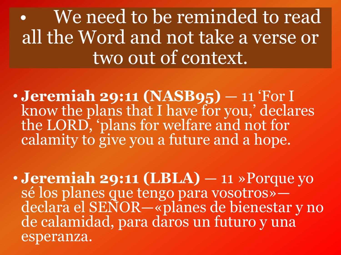We need to be reminded to read all the Word and not take a verse or two out of context.

• **Jeremiah 29:11 (NASB95)** — 11 'For I know the plans that I have for you,' declares the LORD, 'plans for welfare and not for calamity to give you a future and a hope.

• **Jeremiah 29:11 (LBLA)** — 11 »Porque yo sé los planes que tengo para vosotros» declara el SEÑOR—«planes de bienestar y no de calamidad, para daros un futuro y una esperanza.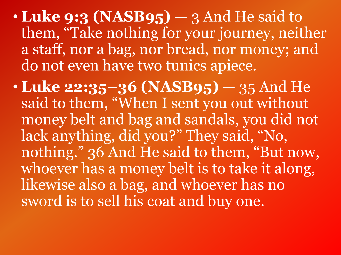- **Luke 9:3 (NASB95)** 3 And He said to them, "Take nothing for your journey, neither a staff, nor a bag, nor bread, nor money; and do not even have two tunics apiece.
- **Luke 22:35–36 (NASB95)** 35 And He said to them, "When I sent you out without money belt and bag and sandals, you did not lack anything, did you?" They said, "No, nothing." 36 And He said to them, "But now, whoever has a money belt is to take it along, likewise also a bag, and whoever has no sword is to sell his coat and buy one.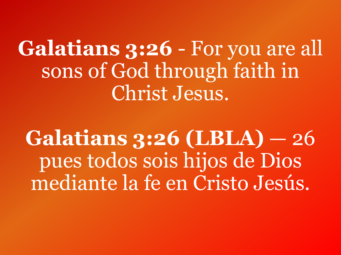**Galatians 3:26** - For you are all sons of God through faith in Christ Jesus.

**Galatians 3:26 (LBLA)** — 26 pues todos sois hijos de Dios mediante la fe en Cristo Jesús.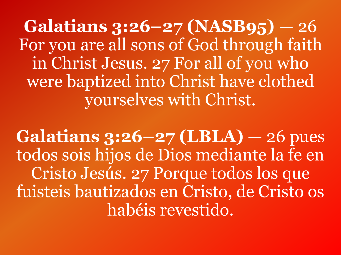**Galatians 3:26–27 (NASB95)** — 26 For you are all sons of God through faith in Christ Jesus. 27 For all of you who were baptized into Christ have clothed yourselves with Christ.

**Galatians 3:26–27 (LBLA)** — 26 pues todos sois hijos de Dios mediante la fe en Cristo Jesús. 27 Porque todos los que fuisteis bautizados en Cristo, de Cristo os habéis revestido.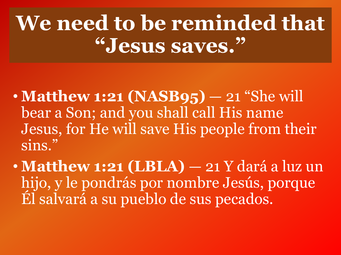# **We need to be reminded that "Jesus saves."**

- **Matthew 1:21 (NASB95)** 21 "She will bear a Son; and you shall call His name Jesus, for He will save His people from their sins."
- **Matthew 1:21 (LBLA)**  21 Y dará a luz un hijo, y le pondrás por nombre Jesús, porque Él salvará a su pueblo de sus pecados.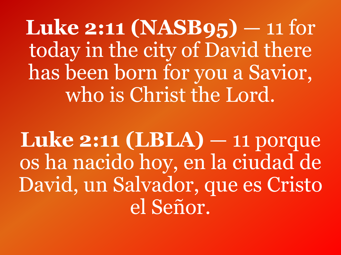**Luke 2:11 (NASB95)** — 11 for today in the city of David there has been born for you a Savior, who is Christ the Lord.

**Luke 2:11 (LBLA)** — 11 porque os ha nacido hoy, en la ciudad de David, un Salvador, que es Cristo el Señor.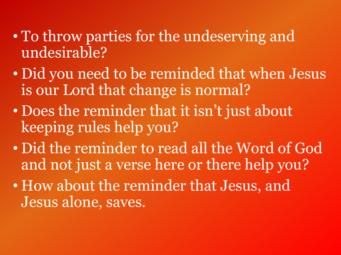- To throw parties for the undeserving and undesirable?
- Did you need to be reminded that when Jesus is our Lord that change is normal?
- Does the reminder that it isn't just about keeping rules help you?
- Did the reminder to read all the Word of God and not just a verse here or there help you?
- How about the reminder that Jesus, and Jesus alone, saves.